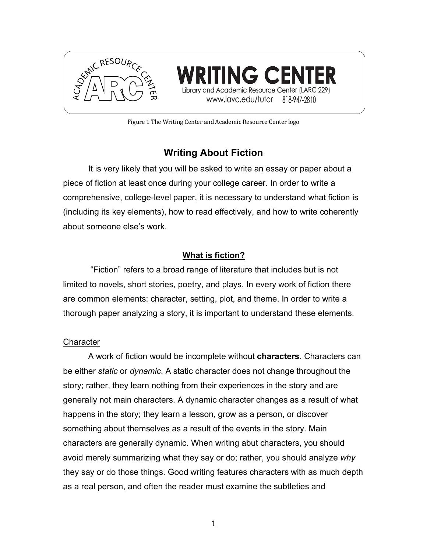

**ING CENTER** cademic Resource Center (LARC 229) www.lavc.edu/tutor | 818-947-2810

Figure 1 The Writing Center and Academic Resource Center logo

# **Writing About Fiction**

It is very likely that you will be asked to write an essay or paper about a piece of fiction at least once during your college career. In order to write a comprehensive, college-level paper, it is necessary to understand what fiction is (including its key elements), how to read effectively, and how to write coherently about someone else's work.

## **What is fiction?**

"Fiction" refers to a broad range of literature that includes but is not limited to novels, short stories, poetry, and plays. In every work of fiction there are common elements: character, setting, plot, and theme. In order to write a thorough paper analyzing a story, it is important to understand these elements.

### **Character**

A work of fiction would be incomplete without **characters**. Characters can be either *static* or *dynamic*. A static character does not change throughout the story; rather, they learn nothing from their experiences in the story and are generally not main characters. A dynamic character changes as a result of what happens in the story; they learn a lesson, grow as a person, or discover something about themselves as a result of the events in the story. Main characters are generally dynamic. When writing abut characters, you should avoid merely summarizing what they say or do; rather, you should analyze *why* they say or do those things. Good writing features characters with as much depth as a real person, and often the reader must examine the subtleties and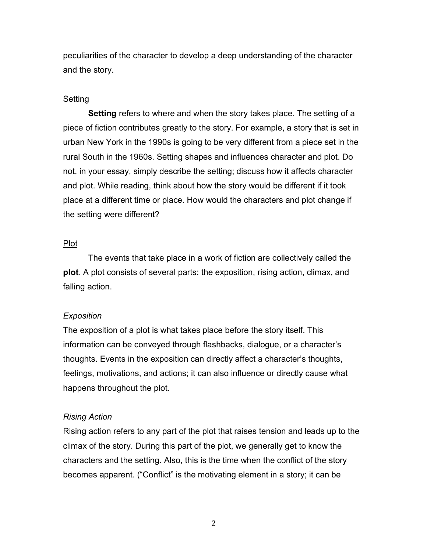peculiarities of the character to develop a deep understanding of the character and the story.

#### **Setting**

**Setting** refers to where and when the story takes place. The setting of a piece of fiction contributes greatly to the story. For example, a story that is set in urban New York in the 1990s is going to be very different from a piece set in the rural South in the 1960s. Setting shapes and influences character and plot. Do not, in your essay, simply describe the setting; discuss how it affects character and plot. While reading, think about how the story would be different if it took place at a different time or place. How would the characters and plot change if the setting were different?

#### Plot

The events that take place in a work of fiction are collectively called the **plot**. A plot consists of several parts: the exposition, rising action, climax, and falling action.

#### *Exposition*

The exposition of a plot is what takes place before the story itself. This information can be conveyed through flashbacks, dialogue, or a character's thoughts. Events in the exposition can directly affect a character's thoughts, feelings, motivations, and actions; it can also influence or directly cause what happens throughout the plot.

#### *Rising Action*

Rising action refers to any part of the plot that raises tension and leads up to the climax of the story. During this part of the plot, we generally get to know the characters and the setting. Also, this is the time when the conflict of the story becomes apparent. ("Conflict" is the motivating element in a story; it can be

2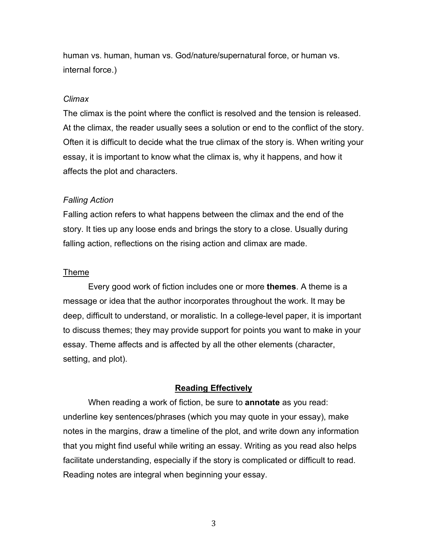human vs. human, human vs. God/nature/supernatural force, or human vs. internal force.)

#### *Climax*

The climax is the point where the conflict is resolved and the tension is released. At the climax, the reader usually sees a solution or end to the conflict of the story. Often it is difficult to decide what the true climax of the story is. When writing your essay, it is important to know what the climax is, why it happens, and how it affects the plot and characters.

#### *Falling Action*

Falling action refers to what happens between the climax and the end of the story. It ties up any loose ends and brings the story to a close. Usually during falling action, reflections on the rising action and climax are made.

#### Theme

Every good work of fiction includes one or more **themes**. A theme is a message or idea that the author incorporates throughout the work. It may be deep, difficult to understand, or moralistic. In a college-level paper, it is important to discuss themes; they may provide support for points you want to make in your essay. Theme affects and is affected by all the other elements (character, setting, and plot).

#### **Reading Effectively**

When reading a work of fiction, be sure to **annotate** as you read: underline key sentences/phrases (which you may quote in your essay), make notes in the margins, draw a timeline of the plot, and write down any information that you might find useful while writing an essay. Writing as you read also helps facilitate understanding, especially if the story is complicated or difficult to read. Reading notes are integral when beginning your essay.

3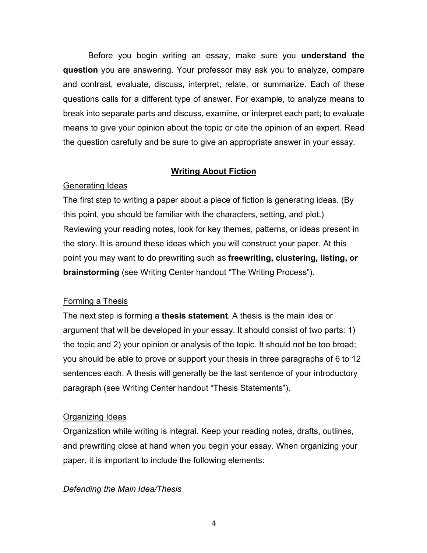Before you begin writing an essay, make sure you **understand the question** you are answering. Your professor may ask you to analyze, compare and contrast, evaluate, discuss, interpret, relate, or summarize. Each of these questions calls for a different type of answer. For example, to analyze means to break into separate parts and discuss, examine, or interpret each part; to evaluate means to give your opinion about the topic or cite the opinion of an expert. Read the question carefully and be sure to give an appropriate answer in your essay.

#### **Writing About Fiction**

#### Generating Ideas

The first step to writing a paper about a piece of fiction is generating ideas. (By this point, you should be familiar with the characters, setting, and plot.) Reviewing your reading notes, look for key themes, patterns, or ideas present in the story. It is around these ideas which you will construct your paper. At this point you may want to do prewriting such as **freewriting, clustering, listing, or brainstorming** (see Writing Center handout "The Writing Process").

#### Forming a Thesis

The next step is forming a **thesis statement**. A thesis is the main idea or argument that will be developed in your essay. It should consist of two parts: 1) the topic and 2) your opinion or analysis of the topic. It should not be too broad; you should be able to prove or support your thesis in three paragraphs of 6 to 12 sentences each. A thesis will generally be the last sentence of your introductory paragraph (see Writing Center handout "Thesis Statements").

#### Organizing Ideas

Organization while writing is integral. Keep your reading notes, drafts, outlines, and prewriting close at hand when you begin your essay. When organizing your paper, it is important to include the following elements:

#### *Defending the Main Idea/Thesis*

4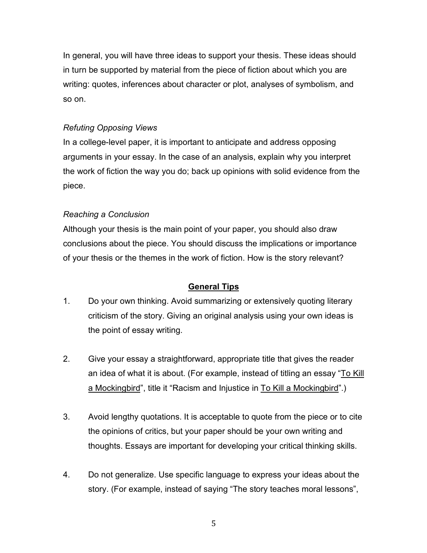In general, you will have three ideas to support your thesis. These ideas should in turn be supported by material from the piece of fiction about which you are writing: quotes, inferences about character or plot, analyses of symbolism, and so on.

### *Refuting Opposing Views*

In a college-level paper, it is important to anticipate and address opposing arguments in your essay. In the case of an analysis, explain why you interpret the work of fiction the way you do; back up opinions with solid evidence from the piece.

#### *Reaching a Conclusion*

Although your thesis is the main point of your paper, you should also draw conclusions about the piece. You should discuss the implications or importance of your thesis or the themes in the work of fiction. How is the story relevant?

### **General Tips**

- 1. Do your own thinking. Avoid summarizing or extensively quoting literary criticism of the story. Giving an original analysis using your own ideas is the point of essay writing.
- 2. Give your essay a straightforward, appropriate title that gives the reader an idea of what it is about. (For example, instead of titling an essay "To Kill a Mockingbird", title it "Racism and Injustice in To Kill a Mockingbird".)
- 3. Avoid lengthy quotations. It is acceptable to quote from the piece or to cite the opinions of critics, but your paper should be your own writing and thoughts. Essays are important for developing your critical thinking skills.
- 4. Do not generalize. Use specific language to express your ideas about the story. (For example, instead of saying "The story teaches moral lessons",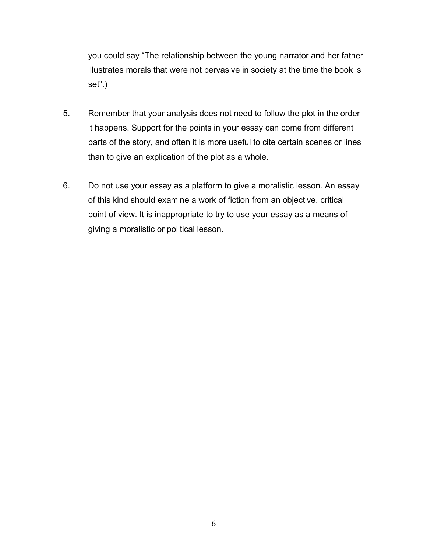you could say "The relationship between the young narrator and her father illustrates morals that were not pervasive in society at the time the book is set".)

- 5. Remember that your analysis does not need to follow the plot in the order it happens. Support for the points in your essay can come from different parts of the story, and often it is more useful to cite certain scenes or lines than to give an explication of the plot as a whole.
- 6. Do not use your essay as a platform to give a moralistic lesson. An essay of this kind should examine a work of fiction from an objective, critical point of view. It is inappropriate to try to use your essay as a means of giving a moralistic or political lesson.